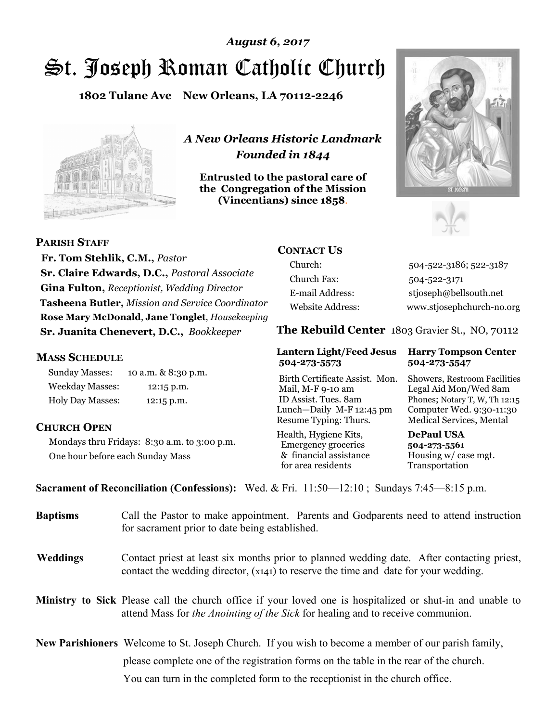# St. Joseph Roman Catholic Church *August 6, 2017*

**1802 Tulane Ave New Orleans, LA 70112-2246**



*A New Orleans Historic Landmark Founded in 1844* 

**Entrusted to the pastoral care of the Congregation of the Mission (Vincentians) since 1858**.





**PARISH STAFF**

 **Fr. Tom Stehlik, C.M.,** *Pastor* **Sr. Claire Edwards, D.C.,** *Pastoral Associate* **Gina Fulton,** *Receptionist, Wedding Director* **Tasheena Butler,** *Mission and Service Coordinator* **Rose Mary McDonald**, **Jane Tonglet**, *Housekeeping* **Sr. Juanita Chenevert, D.C.,** *Bookkeeper* 

#### **MASS SCHEDULE**

Sunday Masses: 10 a.m. & 8:30 p.m. Weekday Masses: 12:15 p.m. Holy Day Masses: 12:15 p.m.

### **CHURCH OPEN**

Mondays thru Fridays: 8:30 a.m. to 3:00 p.m. One hour before each Sunday Mass

# **CONTACT US**

Church: 504-522-3186; 522-3187 Church Fax: 504-522-3171 E-mail Address: stjoseph@bellsouth.net Website Address: www.stjosephchurch-no.org

**The Rebuild Center** 1803 Gravier St., NO, 70112

#### **Lantern Light/Feed Jesus Harry Tompson Center 504-273-5573 504-273-5547**

Birth Certificate Assist. Mon. Showers, Restroom Facilities Mail, M-F 9-10 am Legal Aid Mon/Wed 8am ID Assist. Tues. 8am Phones; Notary T, W, Th 12:15 Lunch—Daily M-F 12:45 pm Computer Wed. 9:30-11:30 Resume Typing: Thurs. Medical Services, Mental

Health, Hygiene Kits, **DePaul USA**  Emergency groceries **504-273-5561** & financial assistance Housing w/ case mgt.<br>for area residents Transportation for area residents

**Sacrament of Reconciliation (Confessions):** Wed. & Fri. 11:50—12:10 ; Sundays 7:45—8:15 p.m.

| <b>Baptisms</b> | Call the Pastor to make appointment. Parents and Godparents need to attend instruction<br>for sacrament prior to date being established.                                                            |  |
|-----------------|-----------------------------------------------------------------------------------------------------------------------------------------------------------------------------------------------------|--|
| <b>Weddings</b> | Contact priest at least six months prior to planned wedding date. After contacting priest,<br>contact the wedding director, (x141) to reserve the time and date for your wedding.                   |  |
|                 | <b>Ministry to Sick</b> Please call the church office if your loved one is hospitalized or shut-in and unable to<br>attend Mass for the Anointing of the Sick for healing and to receive communion. |  |
|                 | New Parishioners Welcome to St. Joseph Church. If you wish to become a member of our parish family,                                                                                                 |  |
|                 | please complete one of the registration forms on the table in the rear of the church.                                                                                                               |  |
|                 | You can turn in the completed form to the reception is the church office.                                                                                                                           |  |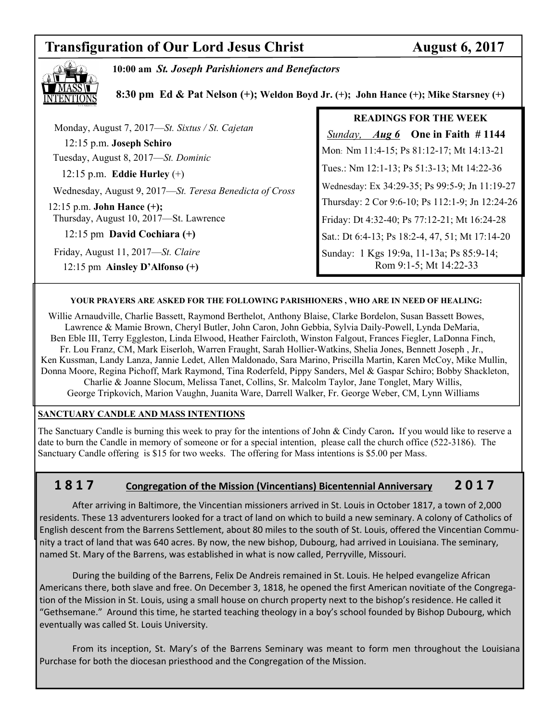# **Transfiguration of Our Lord Jesus Christ Manual August 6, 2017**



**10:00 am** *St. Joseph Parishioners and Benefactors*

 **8:30 pm Ed & Pat Nelson (+); Weldon Boyd Jr. (+); John Hance (+); Mike Starsney (+)** 

|                                                         | <b>READINGS FOR THE WEEK</b>                    |
|---------------------------------------------------------|-------------------------------------------------|
| Monday, August 7, 2017-St. Sixtus / St. Cajetan         | <i>Sunday, Aug 6</i> One in Faith #1144         |
| 12:15 p.m. Joseph Schiro                                | Mon: Nm 11:4-15; Ps 81:12-17; Mt 14:13-21       |
| Tuesday, August 8, 2017—St. Dominic                     |                                                 |
| 12:15 p.m. Eddie Hurley $(+)$                           | Tues.: Nm 12:1-13; Ps 51:3-13; Mt 14:22-36      |
| Wednesday, August 9, 2017—St. Teresa Benedicta of Cross | Wednesday: Ex 34:29-35; Ps 99:5-9; Jn 11:19-27  |
| 12:15 p.m. John Hance $(+)$ ;                           | Thursday: 2 Cor 9:6-10; Ps 112:1-9; Jn 12:24-26 |
| Thursday, August 10, 2017-St. Lawrence                  | Friday: Dt 4:32-40; Ps 77:12-21; Mt 16:24-28    |
| 12:15 pm David Cochiara $(+)$                           | Sat.: Dt 6:4-13; Ps 18:2-4, 47, 51; Mt 17:14-20 |
| Friday, August 11, 2017—St. Claire                      | Sunday: 1 Kgs 19:9a, 11-13a; Ps 85:9-14;        |
| 12:15 pm Ainsley D'Alfonso $(+)$                        | Rom 9:1-5; Mt 14:22-33                          |
|                                                         |                                                 |

#### **YOUR PRAYERS ARE ASKED FOR THE FOLLOWING PARISHIONERS , WHO ARE IN NEED OF HEALING:**

 Willie Arnaudville, Charlie Bassett, Raymond Berthelot, Anthony Blaise, Clarke Bordelon, Susan Bassett Bowes, Lawrence & Mamie Brown, Cheryl Butler, John Caron, John Gebbia, Sylvia Daily-Powell, Lynda DeMaria, Ben Eble III, Terry Eggleston, Linda Elwood, Heather Faircloth, Winston Falgout, Frances Fiegler, LaDonna Finch, Fr. Lou Franz, CM, Mark Eiserloh, Warren Fraught, Sarah Hollier-Watkins, Shelia Jones, Bennett Joseph , Jr., Ken Kussman, Landy Lanza, Jannie Ledet, Allen Maldonado, Sara Marino, Priscilla Martin, Karen McCoy, Mike Mullin, Donna Moore, Regina Pichoff, Mark Raymond, Tina Roderfeld, Pippy Sanders, Mel & Gaspar Schiro; Bobby Shackleton, Charlie & Joanne Slocum, Melissa Tanet, Collins, Sr. Malcolm Taylor, Jane Tonglet, Mary Willis, George Tripkovich, Marion Vaughn, Juanita Ware, Darrell Walker, Fr. George Weber, CM, Lynn Williams

#### **SANCTUARY CANDLE AND MASS INTENTIONS**

The Sanctuary Candle is burning this week to pray for the intentions of John & Cindy Caron**.** If you would like to reserve a date to burn the Candle in memory of someone or for a special intention, please call the church office (522-3186). The Sanctuary Candle offering is \$15 for two weeks. The offering for Mass intentions is \$5.00 per Mass.

# **1 8 1 7 Congregation of the Mission (Vincentians) Bicentennial Anniversary 2 0 1 7**

 After arriving in Baltimore, the Vincentian missioners arrived in St. Louis in October 1817, a town of 2,000 residents. These 13 adventurers looked for a tract of land on which to build a new seminary. A colony of Catholics of English descent from the Barrens Settlement, about 80 miles to the south of St. Louis, offered the Vincentian Community a tract of land that was 640 acres. By now, the new bishop, Dubourg, had arrived in Louisiana. The seminary, named St. Mary of the Barrens, was established in what is now called, Perryville, Missouri.

 During the building of the Barrens, Felix De Andreis remained in St. Louis. He helped evangelize African Americans there, both slave and free. On December 3, 1818, he opened the first American novitiate of the Congregation of the Mission in St. Louis, using a small house on church property next to the bishop's residence. He called it "Gethsemane." Around this time, he started teaching theology in a boy's school founded by Bishop Dubourg, which eventually was called St. Louis University.

 From its inception, St. Mary's of the Barrens Seminary was meant to form men throughout the Louisiana Purchase for both the diocesan priesthood and the Congregation of the Mission.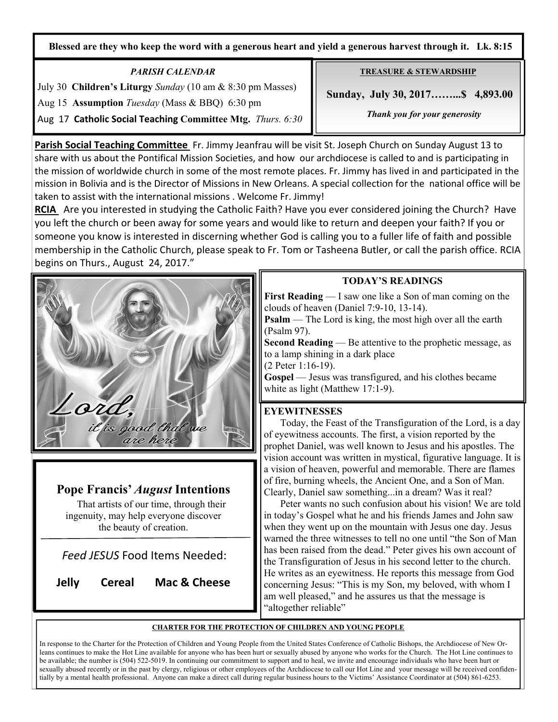**Blessed are they who keep the word with a generous heart and yield a generous harvest through it. Lk. 8:15**

## *PARISH CALENDAR*

July 30 **Children's Liturgy** *Sunday* (10 am & 8:30 pm Masses) Aug 15 **Assumption** *Tuesday* (Mass & BBQ) 6:30 pm Aug 17 **Catholic Social Teaching Committee Mtg.** *Thurs. 6:30* 

**Parish Social Teaching Committee** Fr. Jimmy Jeanfrau will be visit St. Joseph Church on Sunday August 13 to share with us about the Pontifical Mission Societies, and how our archdiocese is called to and is participating in the mission of worldwide church in some of the most remote places. Fr. Jimmy has lived in and participated in the mission in Bolivia and is the Director of Missions in New Orleans. A special collection for the national office will be taken to assist with the international missions . Welcome Fr. Jimmy!

RCIA Are you interested in studying the Catholic Faith? Have you ever considered joining the Church? Have you left the church or been away for some years and would like to return and deepen your faith? If you or someone you know is interested in discerning whether God is calling you to a fuller life of faith and possible membership in the Catholic Church, please speak to Fr. Tom or Tasheena Butler, or call the parish office. RCIA begins on Thurs., August 24, 2017."



**TREASURE & STEWARDSHIP**

 **Sunday, July 30, 2017……...\$ 4,893.00** 

*Thank you for your generosity* 

**First Reading** — I saw one like a Son of man coming on the clouds of heaven (Daniel 7:9-10, 13-14).

**Psalm** — The Lord is king, the most high over all the earth (Psalm 97).

**Second Reading** — Be attentive to the prophetic message, as to a lamp shining in a dark place

(2 Peter 1:16-19).

Gospel — Jesus was transfigured, and his clothes became white as light (Matthew 17:1-9).

### **EYEWITNESSES**

 Today, the Feast of the Transfiguration of the Lord, is a day of eyewitness accounts. The first, a vision reported by the prophet Daniel, was well known to Jesus and his apostles. The vision account was written in mystical, figurative language. It is a vision of heaven, powerful and memorable. There are flames of fire, burning wheels, the Ancient One, and a Son of Man. Clearly, Daniel saw something...in a dream? Was it real?

 Peter wants no such confusion about his vision! We are told in today's Gospel what he and his friends James and John saw when they went up on the mountain with Jesus one day. Jesus warned the three witnesses to tell no one until "the Son of Man has been raised from the dead." Peter gives his own account of the Transfiguration of Jesus in his second letter to the church. He writes as an eyewitness. He reports this message from God concerning Jesus: "This is my Son, my beloved, with whom I am well pleased," and he assures us that the message is "altogether reliable"

#### **CHARTER FOR THE PROTECTION OF CHILDREN AND YOUNG PEOPLE**

In response to the Charter for the Protection of Children and Young People from the United States Conference of Catholic Bishops, the Archdiocese of New Orleans continues to make the Hot Line available for anyone who has been hurt or sexually abused by anyone who works for the Church. The Hot Line continues to be available; the number is (504) 522-5019. In continuing our commitment to support and to heal, we invite and encourage individuals who have been hurt or sexually abused recently or in the past by clergy, religious or other employees of the Archdiocese to call our Hot Line and your message will be received confidentially by a mental health professional. Anyone can make a direct call during regular business hours to the Victims' Assistance Coordinator at (504) 861-6253.



That artists of our time, through their ingenuity, may help everyone discover the beauty of creation.

is good that we are here

*Feed JESUS* Food Items Needed:

**Jelly Cereal Mac & Cheese** 

ord